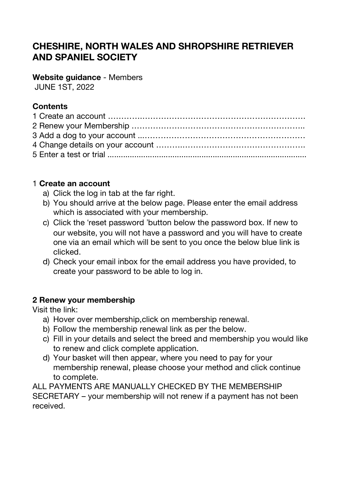# **CHESHIRE, NORTH WALES AND SHROPSHIRE RETRIEVER AND SPANIEL SOCIETY**

**Website guidance** - Members

JUNE 1ST, 2022

# **Contents**

## 1 **Create an account**

- a) Click the log in tab at the far right.
- b) You should arrive at the below page. Please enter the email address which is associated with your membership.
- c) Click the 'reset password 'button below the password box. If new to our website, you will not have a password and you will have to create one via an email which will be sent to you once the below blue link is clicked.
- d) Check your email inbox for the email address you have provided, to create your password to be able to log in.

# **2 Renew your membership**

Visit the link:

- a) Hover over membership,click on membership renewal.
- b) Follow the membership renewal link as per the below.
- c) Fill in your details and select the breed and membership you would like to renew and click complete application.
- d) Your basket will then appear, where you need to pay for your membership renewal, please choose your method and click continue to complete.

ALL PAYMENTS ARE MANUALLY CHECKED BY THE MEMBERSHIP SECRETARY – your membership will not renew if a payment has not been received.